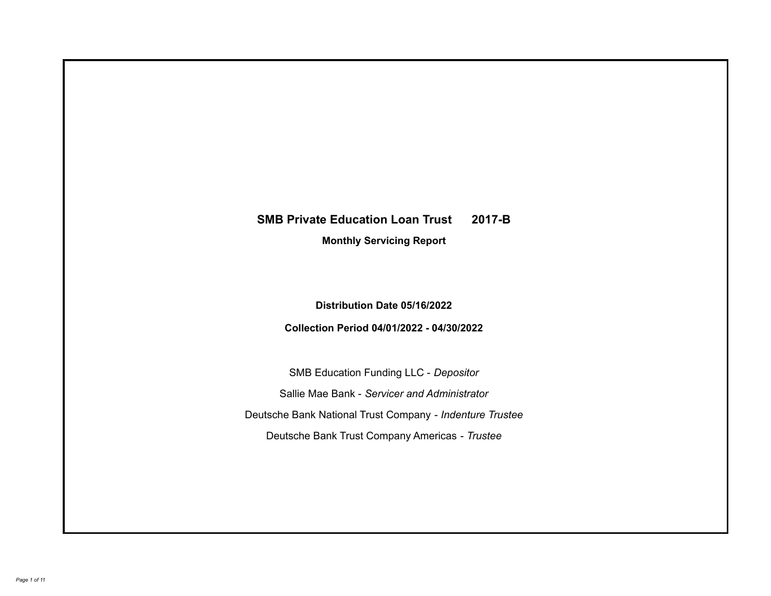# **SMB Private Education Loan Trust 2017-B**

**Monthly Servicing Report**

**Distribution Date 05/16/2022**

**Collection Period 04/01/2022 - 04/30/2022**

SMB Education Funding LLC - *Depositor* Sallie Mae Bank - *Servicer and Administrator* Deutsche Bank National Trust Company - *Indenture Trustee* Deutsche Bank Trust Company Americas - *Trustee*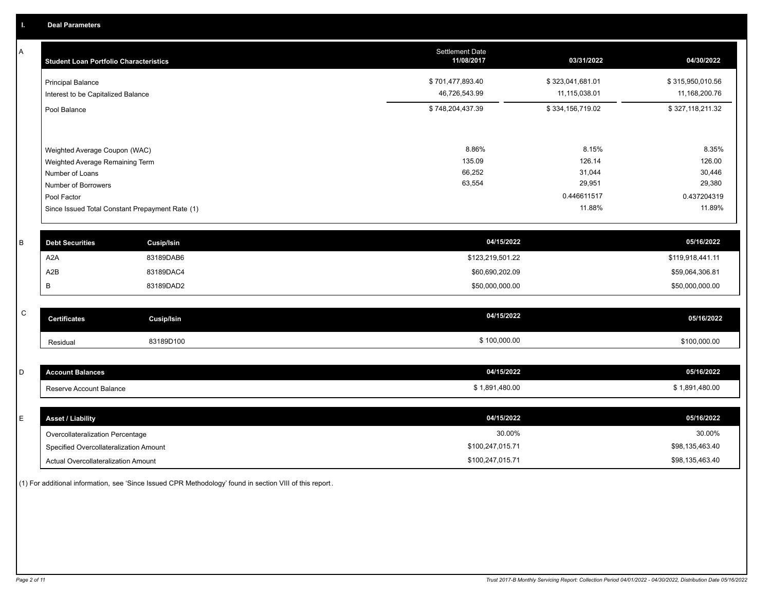A

| Α         | <b>Student Loan Portfolio Characteristics</b> |                                                 | <b>Settlement Date</b><br>11/08/2017 | 03/31/2022            | 04/30/2022            |
|-----------|-----------------------------------------------|-------------------------------------------------|--------------------------------------|-----------------------|-----------------------|
|           | <b>Principal Balance</b>                      |                                                 | \$701,477,893.40                     | \$323,041,681.01      | \$315,950,010.56      |
|           | Interest to be Capitalized Balance            |                                                 | 46,726,543.99                        | 11,115,038.01         | 11,168,200.76         |
|           | Pool Balance                                  |                                                 | \$748,204,437.39                     | \$334,156,719.02      | \$327,118,211.32      |
|           |                                               |                                                 |                                      |                       |                       |
|           | Weighted Average Coupon (WAC)                 |                                                 | 8.86%                                | 8.15%                 | 8.35%                 |
|           | Weighted Average Remaining Term               |                                                 | 135.09                               | 126.14                | 126.00                |
|           | Number of Loans                               |                                                 | 66,252<br>63,554                     | 31,044<br>29,951      | 30,446<br>29,380      |
|           | Number of Borrowers                           |                                                 |                                      |                       |                       |
|           | Pool Factor                                   |                                                 |                                      | 0.446611517<br>11.88% | 0.437204319<br>11.89% |
|           |                                               | Since Issued Total Constant Prepayment Rate (1) |                                      |                       |                       |
| В         | <b>Debt Securities</b>                        | <b>Cusip/Isin</b>                               | 04/15/2022                           |                       | 05/16/2022            |
|           | A2A                                           | 83189DAB6                                       | \$123,219,501.22                     |                       | \$119,918,441.11      |
|           | A <sub>2</sub> B                              | 83189DAC4                                       | \$60,690,202.09                      |                       | \$59,064,306.81       |
|           | В                                             | 83189DAD2                                       | \$50,000,000.00                      |                       | \$50,000,000.00       |
|           |                                               |                                                 |                                      |                       |                       |
| ${\bf C}$ | <b>Certificates</b>                           | Cusip/Isin                                      | 04/15/2022                           |                       | 05/16/2022            |
|           | Residual                                      | 83189D100                                       | \$100,000.00                         |                       | \$100,000.00          |
|           |                                               |                                                 |                                      |                       |                       |
| D         | <b>Account Balances</b>                       |                                                 | 04/15/2022                           |                       | 05/16/2022            |
|           | Reserve Account Balance                       |                                                 | \$1,891,480.00                       |                       | \$1,891,480.00        |
|           |                                               |                                                 |                                      |                       |                       |
| E.        | <b>Asset / Liability</b>                      |                                                 | 04/15/2022                           |                       | 05/16/2022            |

| ASSEL/LIQUIIILY                        |                  |                 |
|----------------------------------------|------------------|-----------------|
| Overcollateralization Percentage       | 30.00%           | 30.00%          |
| Specified Overcollateralization Amount | \$100.247.015.71 | \$98,135,463.40 |
| Actual Overcollateralization Amount    | \$100.247.015.71 | \$98,135,463.40 |
|                                        |                  |                 |

(1) For additional information, see 'Since Issued CPR Methodology' found in section VIII of this report .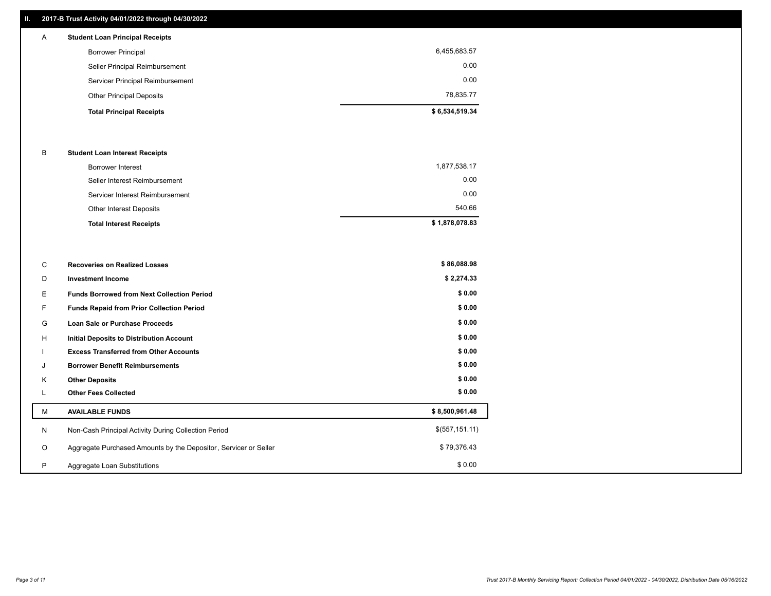## **II. 2017-B Trust Activity 04/01/2022 through 04/30/2022**

## **Total Principal Receipts \$ 6,534,519.34**  Other Principal Deposits 78,835.77 Servicer Principal Reimbursement 0.00 Seller Principal Reimbursement 0.00 Borrower Principal 6,455,683.57 A **Student Loan Principal Receipts**

## B **Student Loan Interest Receipts**

| <b>Total Interest Receipts</b>  | \$1,878,078.83 |
|---------------------------------|----------------|
| Other Interest Deposits         | 540.66         |
| Servicer Interest Reimbursement | 0.00           |
| Seller Interest Reimbursement   | 0.00           |
| <b>Borrower Interest</b>        | 1,877,538.17   |

| C       | <b>Recoveries on Realized Losses</b>                             | \$86,088.98    |
|---------|------------------------------------------------------------------|----------------|
| D       | <b>Investment Income</b>                                         | \$2,274.33     |
| E.      | <b>Funds Borrowed from Next Collection Period</b>                | \$0.00         |
| F       | Funds Repaid from Prior Collection Period                        | \$0.00         |
| G       | Loan Sale or Purchase Proceeds                                   | \$0.00         |
| H       | <b>Initial Deposits to Distribution Account</b>                  | \$0.00         |
|         | <b>Excess Transferred from Other Accounts</b>                    | \$0.00         |
| J       | <b>Borrower Benefit Reimbursements</b>                           | \$0.00         |
| K       | <b>Other Deposits</b>                                            | \$0.00         |
|         | <b>Other Fees Collected</b>                                      | \$0.00         |
| M       | <b>AVAILABLE FUNDS</b>                                           | \$8,500,961.48 |
| N       | Non-Cash Principal Activity During Collection Period             | \$(557,151.11) |
| $\circ$ | Aggregate Purchased Amounts by the Depositor, Servicer or Seller | \$79,376.43    |
| P       | Aggregate Loan Substitutions                                     | \$0.00         |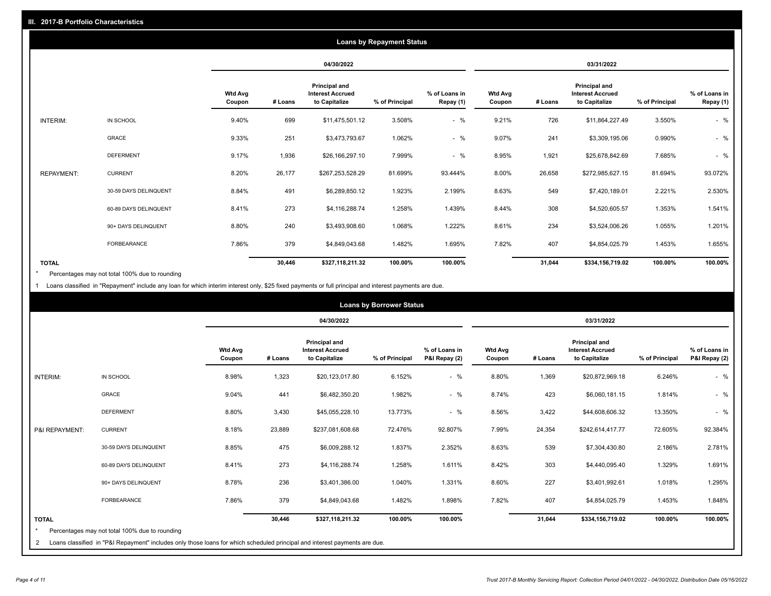|                   | <b>Loans by Repayment Status</b> |                          |            |                                                           |                |                            |                          |         |                                                           |                |                            |
|-------------------|----------------------------------|--------------------------|------------|-----------------------------------------------------------|----------------|----------------------------|--------------------------|---------|-----------------------------------------------------------|----------------|----------------------------|
|                   |                                  |                          | 04/30/2022 |                                                           |                | 03/31/2022                 |                          |         |                                                           |                |                            |
|                   |                                  | <b>Wtd Avg</b><br>Coupon | # Loans    | Principal and<br><b>Interest Accrued</b><br>to Capitalize | % of Principal | % of Loans in<br>Repay (1) | <b>Wtd Avg</b><br>Coupon | # Loans | Principal and<br><b>Interest Accrued</b><br>to Capitalize | % of Principal | % of Loans in<br>Repay (1) |
| INTERIM:          | IN SCHOOL                        | 9.40%                    | 699        | \$11,475,501.12                                           | 3.508%         | $-$ %                      | 9.21%                    | 726     | \$11,864,227.49                                           | 3.550%         | $-$ %                      |
|                   | GRACE                            | 9.33%                    | 251        | \$3,473,793.67                                            | 1.062%         | $-$ %                      | 9.07%                    | 241     | \$3,309,195.06                                            | 0.990%         | $-$ %                      |
|                   | <b>DEFERMENT</b>                 | 9.17%                    | 1,936      | \$26,166,297.10                                           | 7.999%         | $-$ %                      | 8.95%                    | 1,921   | \$25,678,842.69                                           | 7.685%         | $-$ %                      |
| <b>REPAYMENT:</b> | <b>CURRENT</b>                   | 8.20%                    | 26,177     | \$267,253,528.29                                          | 81.699%        | 93.444%                    | 8.00%                    | 26,658  | \$272,985,627.15                                          | 81.694%        | 93.072%                    |
|                   | 30-59 DAYS DELINQUENT            | 8.84%                    | 491        | \$6,289,850.12                                            | 1.923%         | 2.199%                     | 8.63%                    | 549     | \$7,420,189.01                                            | 2.221%         | 2.530%                     |
|                   | 60-89 DAYS DELINQUENT            | 8.41%                    | 273        | \$4,116,288.74                                            | 1.258%         | 1.439%                     | 8.44%                    | 308     | \$4,520,605.57                                            | 1.353%         | 1.541%                     |
|                   | 90+ DAYS DELINQUENT              | 8.80%                    | 240        | \$3,493,908.60                                            | 1.068%         | 1.222%                     | 8.61%                    | 234     | \$3,524,006.26                                            | 1.055%         | 1.201%                     |
|                   | <b>FORBEARANCE</b>               | 7.86%                    | 379        | \$4,849,043.68                                            | 1.482%         | 1.695%                     | 7.82%                    | 407     | \$4,854,025.79                                            | 1.453%         | 1.655%                     |
| <b>TOTAL</b>      |                                  |                          | 30,446     | \$327,118,211.32                                          | 100.00%        | 100.00%                    |                          | 31,044  | \$334,156,719.02                                          | 100.00%        | 100.00%                    |

Percentages may not total 100% due to rounding \*

1 Loans classified in "Repayment" include any loan for which interim interest only, \$25 fixed payments or full principal and interest payments are due.

|                              |                                                                                                                                                                              | <b>Loans by Borrower Status</b> |         |                                                           |                |                                |                          |         |                                                           |                |                                |
|------------------------------|------------------------------------------------------------------------------------------------------------------------------------------------------------------------------|---------------------------------|---------|-----------------------------------------------------------|----------------|--------------------------------|--------------------------|---------|-----------------------------------------------------------|----------------|--------------------------------|
|                              |                                                                                                                                                                              |                                 |         | 04/30/2022                                                |                |                                | 03/31/2022               |         |                                                           |                |                                |
|                              |                                                                                                                                                                              | <b>Wtd Avg</b><br>Coupon        | # Loans | Principal and<br><b>Interest Accrued</b><br>to Capitalize | % of Principal | % of Loans in<br>P&I Repay (2) | <b>Wtd Avg</b><br>Coupon | # Loans | Principal and<br><b>Interest Accrued</b><br>to Capitalize | % of Principal | % of Loans in<br>P&I Repay (2) |
| <b>INTERIM:</b>              | IN SCHOOL                                                                                                                                                                    | 8.98%                           | 1,323   | \$20,123,017.80                                           | 6.152%         | $-$ %                          | 8.80%                    | 1,369   | \$20,872,969.18                                           | 6.246%         | $-$ %                          |
|                              | <b>GRACE</b>                                                                                                                                                                 | 9.04%                           | 441     | \$6,482,350.20                                            | 1.982%         | $-$ %                          | 8.74%                    | 423     | \$6,060,181.15                                            | 1.814%         | $-$ %                          |
|                              | <b>DEFERMENT</b>                                                                                                                                                             | 8.80%                           | 3,430   | \$45,055,228.10                                           | 13.773%        | $-$ %                          | 8.56%                    | 3,422   | \$44,608,606.32                                           | 13.350%        | $-$ %                          |
| P&I REPAYMENT:               | <b>CURRENT</b>                                                                                                                                                               | 8.18%                           | 23,889  | \$237,081,608.68                                          | 72.476%        | 92.807%                        | 7.99%                    | 24,354  | \$242,614,417.77                                          | 72.605%        | 92.384%                        |
|                              | 30-59 DAYS DELINQUENT                                                                                                                                                        | 8.85%                           | 475     | \$6,009,288.12                                            | 1.837%         | 2.352%                         | 8.63%                    | 539     | \$7,304,430.80                                            | 2.186%         | 2.781%                         |
|                              | 60-89 DAYS DELINQUENT                                                                                                                                                        | 8.41%                           | 273     | \$4,116,288.74                                            | 1.258%         | 1.611%                         | 8.42%                    | 303     | \$4,440,095.40                                            | 1.329%         | 1.691%                         |
|                              | 90+ DAYS DELINQUENT                                                                                                                                                          | 8.78%                           | 236     | \$3,401,386.00                                            | 1.040%         | 1.331%                         | 8.60%                    | 227     | \$3,401,992.61                                            | 1.018%         | 1.295%                         |
|                              | FORBEARANCE                                                                                                                                                                  | 7.86%                           | 379     | \$4,849,043.68                                            | 1.482%         | 1.898%                         | 7.82%                    | 407     | \$4,854,025.79                                            | 1.453%         | 1.848%                         |
| <b>TOTAL</b><br>$\star$<br>2 | Percentages may not total 100% due to rounding<br>Loans classified in "P&I Repayment" includes only those loans for which scheduled principal and interest payments are due. |                                 | 30,446  | \$327,118,211.32                                          | 100.00%        | 100.00%                        |                          | 31,044  | \$334,156,719.02                                          | 100.00%        | 100.00%                        |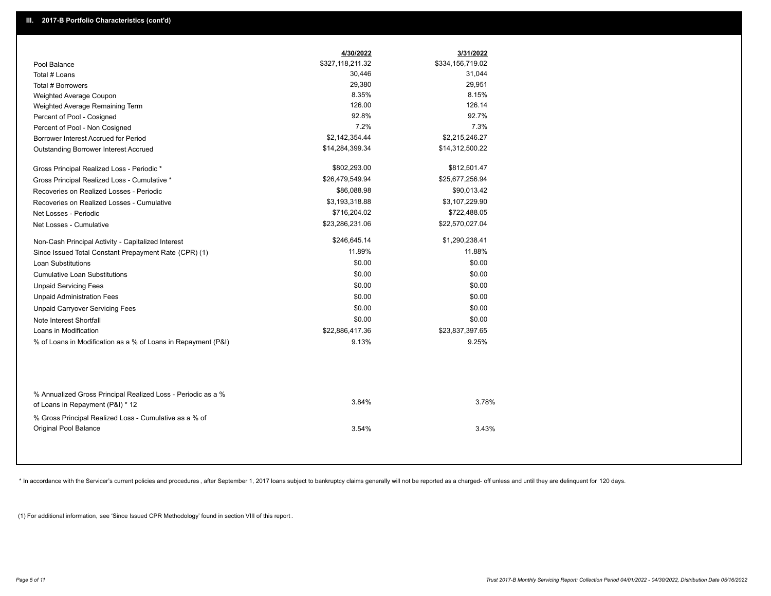|                                                                                                  | 4/30/2022        | 3/31/2022        |
|--------------------------------------------------------------------------------------------------|------------------|------------------|
| Pool Balance                                                                                     | \$327,118,211.32 | \$334,156,719.02 |
| Total # Loans                                                                                    | 30,446           | 31,044           |
| Total # Borrowers                                                                                | 29,380           | 29,951           |
| Weighted Average Coupon                                                                          | 8.35%            | 8.15%            |
| Weighted Average Remaining Term                                                                  | 126.00           | 126.14           |
| Percent of Pool - Cosigned                                                                       | 92.8%            | 92.7%            |
| Percent of Pool - Non Cosigned                                                                   | 7.2%             | 7.3%             |
| Borrower Interest Accrued for Period                                                             | \$2,142,354.44   | \$2,215,246.27   |
| <b>Outstanding Borrower Interest Accrued</b>                                                     | \$14,284,399.34  | \$14,312,500.22  |
| Gross Principal Realized Loss - Periodic *                                                       | \$802,293.00     | \$812,501.47     |
| Gross Principal Realized Loss - Cumulative *                                                     | \$26,479,549.94  | \$25,677,256.94  |
| Recoveries on Realized Losses - Periodic                                                         | \$86,088.98      | \$90,013.42      |
| Recoveries on Realized Losses - Cumulative                                                       | \$3,193,318.88   | \$3,107,229.90   |
| Net Losses - Periodic                                                                            | \$716,204.02     | \$722,488.05     |
| Net Losses - Cumulative                                                                          | \$23,286,231.06  | \$22,570,027.04  |
| Non-Cash Principal Activity - Capitalized Interest                                               | \$246,645.14     | \$1,290,238.41   |
| Since Issued Total Constant Prepayment Rate (CPR) (1)                                            | 11.89%           | 11.88%           |
| <b>Loan Substitutions</b>                                                                        | \$0.00           | \$0.00           |
| <b>Cumulative Loan Substitutions</b>                                                             | \$0.00           | \$0.00           |
| <b>Unpaid Servicing Fees</b>                                                                     | \$0.00           | \$0.00           |
| <b>Unpaid Administration Fees</b>                                                                | \$0.00           | \$0.00           |
| <b>Unpaid Carryover Servicing Fees</b>                                                           | \$0.00           | \$0.00           |
| Note Interest Shortfall                                                                          | \$0.00           | \$0.00           |
| Loans in Modification                                                                            | \$22,886,417.36  | \$23,837,397.65  |
| % of Loans in Modification as a % of Loans in Repayment (P&I)                                    | 9.13%            | 9.25%            |
| % Annualized Gross Principal Realized Loss - Periodic as a %<br>of Loans in Repayment (P&I) * 12 | 3.84%            | 3.78%            |
| % Gross Principal Realized Loss - Cumulative as a % of                                           |                  |                  |
| <b>Original Pool Balance</b>                                                                     | 3.54%            | 3.43%            |

\* In accordance with the Servicer's current policies and procedures, after September 1, 2017 loans subject to bankruptcy claims generally will not be reported as a charged- off unless and until they are delinquent for 120

(1) For additional information, see 'Since Issued CPR Methodology' found in section VIII of this report .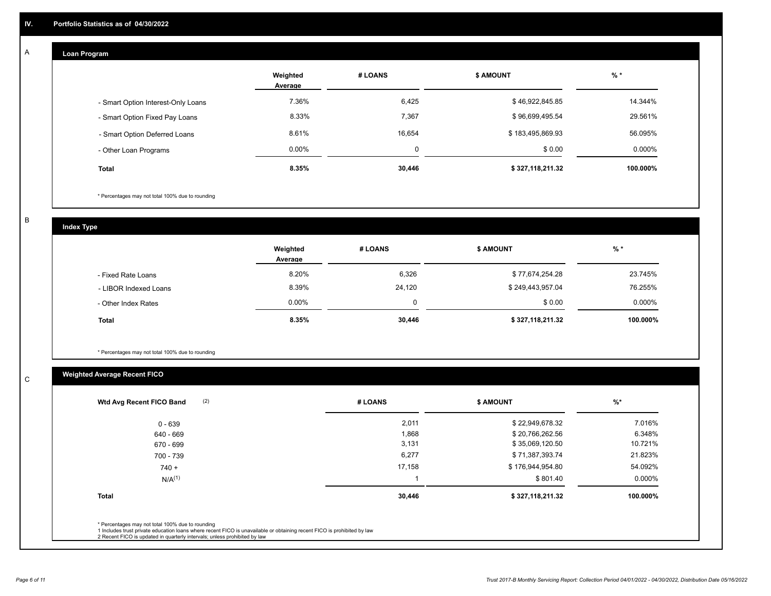#### **Loan Program**  A

|                                    | Weighted<br>Average | # LOANS | <b>\$ AMOUNT</b> | $%$ *    |
|------------------------------------|---------------------|---------|------------------|----------|
| - Smart Option Interest-Only Loans | 7.36%               | 6,425   | \$46,922,845.85  | 14.344%  |
| - Smart Option Fixed Pay Loans     | 8.33%               | 7,367   | \$96,699,495.54  | 29.561%  |
| - Smart Option Deferred Loans      | 8.61%               | 16.654  | \$183,495,869.93 | 56.095%  |
| - Other Loan Programs              | $0.00\%$            | 0       | \$0.00           | 0.000%   |
| <b>Total</b>                       | 8.35%               | 30,446  | \$327,118,211.32 | 100.000% |

\* Percentages may not total 100% due to rounding

B

C

**Index Type**

|                       | Weighted<br>Average | # LOANS | <b>\$ AMOUNT</b> | $%$ *     |
|-----------------------|---------------------|---------|------------------|-----------|
| - Fixed Rate Loans    | 8.20%               | 6,326   | \$77,674,254.28  | 23.745%   |
| - LIBOR Indexed Loans | 8.39%               | 24,120  | \$249,443,957.04 | 76.255%   |
| - Other Index Rates   | $0.00\%$            |         | \$0.00           | $0.000\%$ |
| <b>Total</b>          | 8.35%               | 30,446  | \$327,118,211.32 | 100.000%  |

\* Percentages may not total 100% due to rounding

## **Weighted Average Recent FICO**

| 2,011<br>1,868<br>3,131<br>6,277 | \$22,949,678.32<br>\$20,766,262.56<br>\$35,069,120.50 | 7.016%<br>6.348%<br>10.721% |
|----------------------------------|-------------------------------------------------------|-----------------------------|
|                                  |                                                       |                             |
|                                  |                                                       |                             |
|                                  |                                                       |                             |
|                                  | \$71,387,393.74                                       | 21.823%                     |
| 17,158                           | \$176,944,954.80                                      | 54.092%                     |
|                                  | \$801.40                                              | 0.000%                      |
| 30,446                           | \$327,118,211.32                                      | 100.000%                    |
|                                  |                                                       |                             |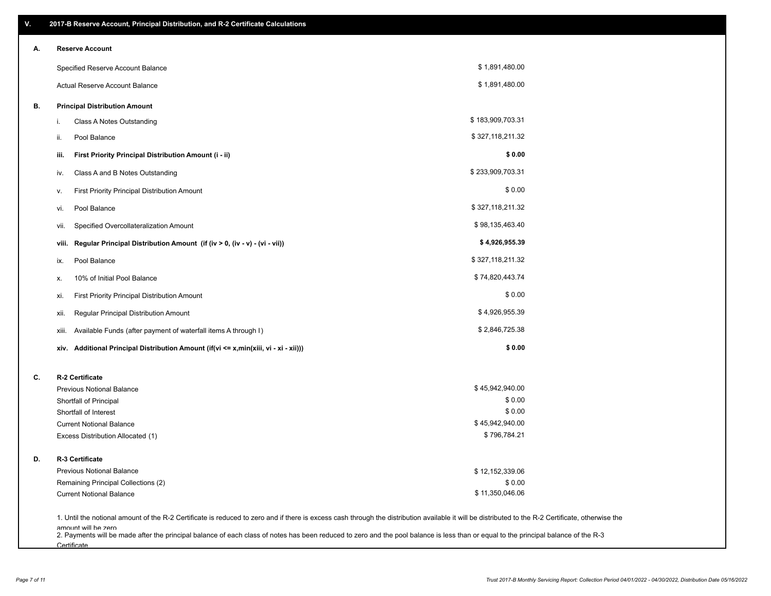| Α. | <b>Reserve Account</b>                                                               |                  |  |
|----|--------------------------------------------------------------------------------------|------------------|--|
|    | Specified Reserve Account Balance                                                    | \$1,891,480.00   |  |
|    | Actual Reserve Account Balance                                                       | \$1,891,480.00   |  |
| В. | <b>Principal Distribution Amount</b>                                                 |                  |  |
|    | Class A Notes Outstanding<br>i.                                                      | \$183,909,703.31 |  |
|    | Pool Balance<br>ii.                                                                  | \$327,118,211.32 |  |
|    | First Priority Principal Distribution Amount (i - ii)<br>iii.                        | \$0.00           |  |
|    | Class A and B Notes Outstanding<br>iv.                                               | \$233,909,703.31 |  |
|    | First Priority Principal Distribution Amount<br>۷.                                   | \$0.00           |  |
|    | Pool Balance<br>vi.                                                                  | \$327,118,211.32 |  |
|    | Specified Overcollateralization Amount<br>vii.                                       | \$98,135,463.40  |  |
|    | Regular Principal Distribution Amount (if (iv > 0, (iv - v) - (vi - vii))<br>viii.   | \$4,926,955.39   |  |
|    | Pool Balance<br>ix.                                                                  | \$327,118,211.32 |  |
|    | 10% of Initial Pool Balance<br>х.                                                    | \$74,820,443.74  |  |
|    | First Priority Principal Distribution Amount<br>xi.                                  | \$0.00           |  |
|    | Regular Principal Distribution Amount<br>xii.                                        | \$4,926,955.39   |  |
|    | Available Funds (after payment of waterfall items A through I)<br>xiii.              | \$2,846,725.38   |  |
|    | xiv. Additional Principal Distribution Amount (if(vi <= x,min(xiii, vi - xi - xii))) | \$0.00           |  |
| C. | R-2 Certificate                                                                      |                  |  |
|    | <b>Previous Notional Balance</b>                                                     | \$45,942,940.00  |  |
|    | Shortfall of Principal                                                               | \$0.00           |  |
|    | Shortfall of Interest                                                                | \$0.00           |  |
|    | <b>Current Notional Balance</b>                                                      | \$45,942,940.00  |  |
|    | Excess Distribution Allocated (1)                                                    | \$796,784.21     |  |
| D. | R-3 Certificate                                                                      |                  |  |
|    | <b>Previous Notional Balance</b>                                                     | \$12,152,339.06  |  |
|    | Remaining Principal Collections (2)                                                  | \$0.00           |  |
|    | <b>Current Notional Balance</b>                                                      | \$11,350,046.06  |  |

amount will be zero<br>2. Payments will be made after the principal balance of each class of notes has been reduced to zero and the pool balance is less than or equal to the principal balance of the R-3 **Certificate**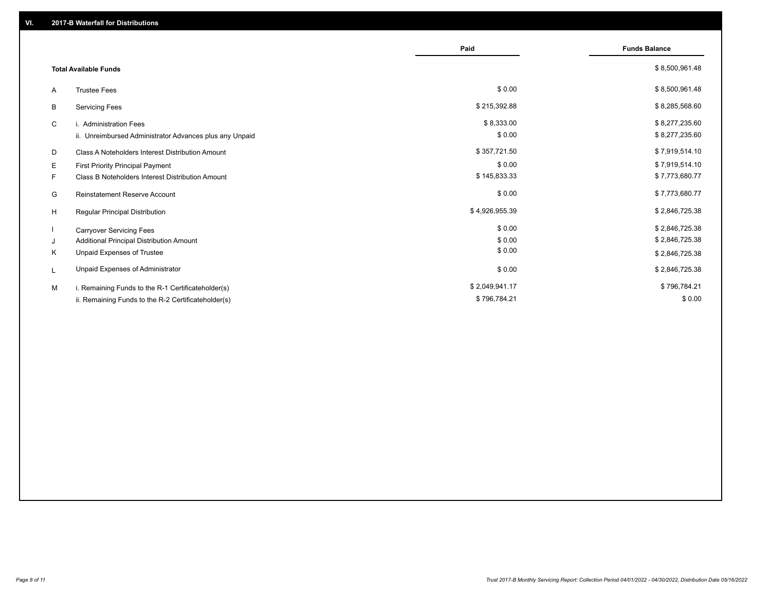|                                                         | Paid           | <b>Funds Balance</b> |
|---------------------------------------------------------|----------------|----------------------|
| <b>Total Available Funds</b>                            |                | \$8,500,961.48       |
| <b>Trustee Fees</b><br>A                                | \$0.00         | \$8,500,961.48       |
| <b>Servicing Fees</b><br>B                              | \$215,392.88   | \$8,285,568.60       |
| C<br>i. Administration Fees                             | \$8,333.00     | \$8,277,235.60       |
| ii. Unreimbursed Administrator Advances plus any Unpaid | \$0.00         | \$8,277,235.60       |
| Class A Noteholders Interest Distribution Amount<br>D   | \$357,721.50   | \$7,919,514.10       |
| Е<br>First Priority Principal Payment                   | \$0.00         | \$7,919,514.10       |
| F.<br>Class B Noteholders Interest Distribution Amount  | \$145,833.33   | \$7,773,680.77       |
| G<br><b>Reinstatement Reserve Account</b>               | \$0.00         | \$7,773,680.77       |
| H<br>Regular Principal Distribution                     | \$4,926,955.39 | \$2,846,725.38       |
| <b>Carryover Servicing Fees</b>                         | \$0.00         | \$2,846,725.38       |
| Additional Principal Distribution Amount<br>J           | \$0.00         | \$2,846,725.38       |
| Κ<br>Unpaid Expenses of Trustee                         | \$0.00         | \$2,846,725.38       |
| Unpaid Expenses of Administrator<br>L                   | \$0.00         | \$2,846,725.38       |
| M<br>i. Remaining Funds to the R-1 Certificateholder(s) | \$2,049,941.17 | \$796,784.21         |
| ii. Remaining Funds to the R-2 Certificateholder(s)     | \$796,784.21   | \$0.00               |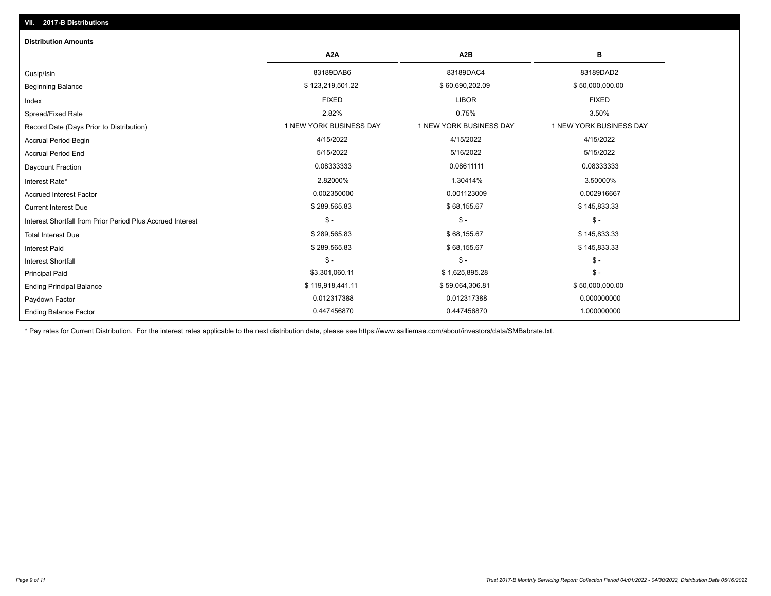| <b>Distribution Amounts</b>                                |                         |                         |                         |
|------------------------------------------------------------|-------------------------|-------------------------|-------------------------|
|                                                            | A <sub>2</sub> A        | A <sub>2</sub> B        | в                       |
| Cusip/Isin                                                 | 83189DAB6               | 83189DAC4               | 83189DAD2               |
| <b>Beginning Balance</b>                                   | \$123,219,501.22        | \$60,690,202.09         | \$50,000,000.00         |
| Index                                                      | <b>FIXED</b>            | <b>LIBOR</b>            | <b>FIXED</b>            |
| Spread/Fixed Rate                                          | 2.82%                   | 0.75%                   | 3.50%                   |
| Record Date (Days Prior to Distribution)                   | 1 NEW YORK BUSINESS DAY | 1 NEW YORK BUSINESS DAY | 1 NEW YORK BUSINESS DAY |
| <b>Accrual Period Begin</b>                                | 4/15/2022               | 4/15/2022               | 4/15/2022               |
| <b>Accrual Period End</b>                                  | 5/15/2022               | 5/16/2022               | 5/15/2022               |
| Daycount Fraction                                          | 0.08333333              | 0.08611111              | 0.08333333              |
| Interest Rate*                                             | 2.82000%                | 1.30414%                | 3.50000%                |
| <b>Accrued Interest Factor</b>                             | 0.002350000             | 0.001123009             | 0.002916667             |
| <b>Current Interest Due</b>                                | \$289,565.83            | \$68,155.67             | \$145,833.33            |
| Interest Shortfall from Prior Period Plus Accrued Interest | $\mathsf{\$}$ -         | $$ -$                   | $$ -$                   |
| <b>Total Interest Due</b>                                  | \$289,565.83            | \$68,155.67             | \$145,833.33            |
| <b>Interest Paid</b>                                       | \$289,565.83            | \$68,155.67             | \$145,833.33            |
| <b>Interest Shortfall</b>                                  | $\mathsf{\$}$ -         | \$-                     | $$ -$                   |
| <b>Principal Paid</b>                                      | \$3,301,060.11          | \$1,625,895.28          | $$ -$                   |
| <b>Ending Principal Balance</b>                            | \$119,918,441.11        | \$59,064,306.81         | \$50,000,000.00         |
| Paydown Factor                                             | 0.012317388             | 0.012317388             | 0.000000000             |
| <b>Ending Balance Factor</b>                               | 0.447456870             | 0.447456870             | 1.000000000             |

\* Pay rates for Current Distribution. For the interest rates applicable to the next distribution date, please see https://www.salliemae.com/about/investors/data/SMBabrate.txt.

**VII. 2017-B Distributions**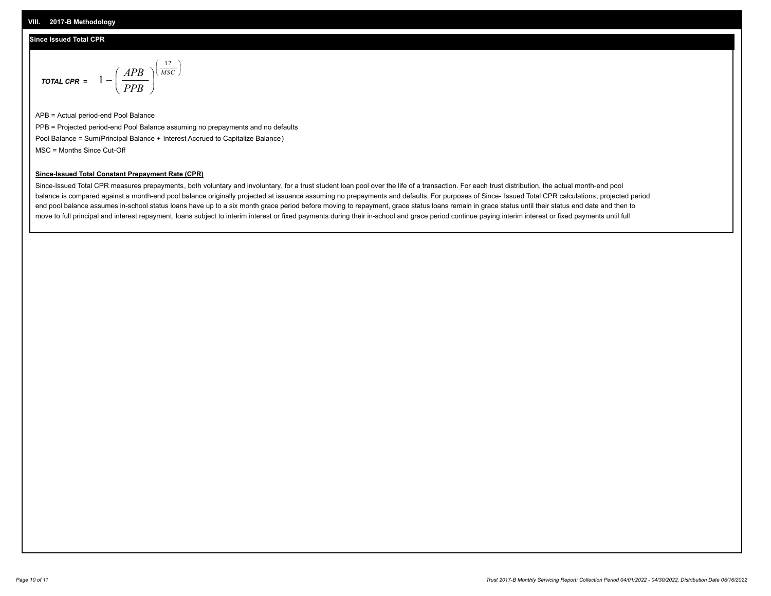## **Since Issued Total CPR**

$$
\text{total cPR} = 1 - \left(\frac{APB}{PPB}\right)^{\left(\frac{12}{MSC}\right)}
$$

APB = Actual period-end Pool Balance PPB = Projected period-end Pool Balance assuming no prepayments and no defaults Pool Balance = Sum(Principal Balance + Interest Accrued to Capitalize Balance) MSC = Months Since Cut-Off

I J Ι

## **Since-Issued Total Constant Prepayment Rate (CPR)**

Since-Issued Total CPR measures prepayments, both voluntary and involuntary, for a trust student loan pool over the life of a transaction. For each trust distribution, the actual month-end pool balance is compared against a month-end pool balance originally projected at issuance assuming no prepayments and defaults. For purposes of Since- Issued Total CPR calculations, projected period end pool balance assumes in-school status loans have up to a six month grace period before moving to repayment, grace status loans remain in grace status until their status end date and then to move to full principal and interest repayment, loans subject to interim interest or fixed payments during their in-school and grace period continue paying interim interest or fixed payments until full